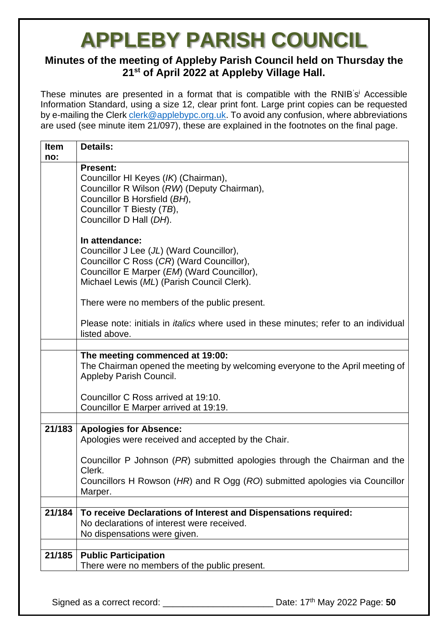#### **Minutes of the meeting of Appleby Parish Council held on Thursday the 21st of April 2022 at Appleby Village Hall.**

These minutes are presented in a format that is compatible with the RNIB's<sup>i</sup> Accessible Information Standard, using a size 12, clear print font. Large print copies can be requested by e-mailing the Clerk [clerk@applebypc.org.uk.](mailto:clerk@applebypc.org.uk) To avoid any confusion, where abbreviations are used (see minute item 21/097), these are explained in the footnotes on the final page.

| <b>Item</b><br>no: | <b>Details:</b>                                                                                                                                                                                      |
|--------------------|------------------------------------------------------------------------------------------------------------------------------------------------------------------------------------------------------|
|                    | <b>Present:</b><br>Councillor HI Keyes (IK) (Chairman),<br>Councillor R Wilson (RW) (Deputy Chairman),<br>Councillor B Horsfield (BH),<br>Councillor T Biesty (TB),<br>Councillor D Hall (DH).       |
|                    | In attendance:<br>Councillor J Lee (JL) (Ward Councillor),<br>Councillor C Ross (CR) (Ward Councillor),<br>Councillor E Marper (EM) (Ward Councillor),<br>Michael Lewis (ML) (Parish Council Clerk). |
|                    | There were no members of the public present.                                                                                                                                                         |
|                    | Please note: initials in <i>italics</i> where used in these minutes; refer to an individual<br>listed above.                                                                                         |
|                    |                                                                                                                                                                                                      |
|                    | The meeting commenced at 19:00:<br>The Chairman opened the meeting by welcoming everyone to the April meeting of<br>Appleby Parish Council.                                                          |
|                    | Councillor C Ross arrived at 19:10.                                                                                                                                                                  |
|                    | Councillor E Marper arrived at 19:19.                                                                                                                                                                |
| 21/183             | <b>Apologies for Absence:</b><br>Apologies were received and accepted by the Chair.                                                                                                                  |
|                    | Councillor P Johnson (PR) submitted apologies through the Chairman and the<br>Clerk.                                                                                                                 |
|                    | Councillors H Rowson (HR) and R Ogg (RO) submitted apologies via Councillor<br>Marper.                                                                                                               |
|                    |                                                                                                                                                                                                      |
| 21/184             | To receive Declarations of Interest and Dispensations required:<br>No declarations of interest were received.<br>No dispensations were given.                                                        |
|                    |                                                                                                                                                                                                      |
| 21/185             | <b>Public Participation</b><br>There were no members of the public present.                                                                                                                          |
|                    |                                                                                                                                                                                                      |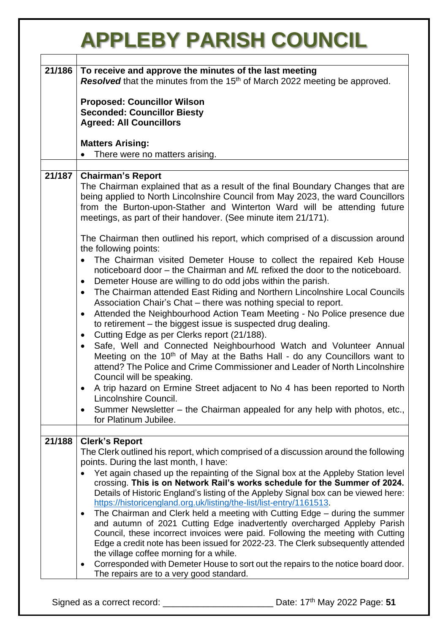|        | <b>APPLEBY PARISH COUNCIL</b>                                                                                                                                                                                                                                                                                                                                                                                                                                                                                                                                                                                                                                                                                                                                                                                                                                                                                                                                                                                                                                                                                                                                                                                                                                                                                          |
|--------|------------------------------------------------------------------------------------------------------------------------------------------------------------------------------------------------------------------------------------------------------------------------------------------------------------------------------------------------------------------------------------------------------------------------------------------------------------------------------------------------------------------------------------------------------------------------------------------------------------------------------------------------------------------------------------------------------------------------------------------------------------------------------------------------------------------------------------------------------------------------------------------------------------------------------------------------------------------------------------------------------------------------------------------------------------------------------------------------------------------------------------------------------------------------------------------------------------------------------------------------------------------------------------------------------------------------|
| 21/186 | To receive and approve the minutes of the last meeting<br>Resolved that the minutes from the 15 <sup>th</sup> of March 2022 meeting be approved.<br><b>Proposed: Councillor Wilson</b><br><b>Seconded: Councillor Biesty</b><br><b>Agreed: All Councillors</b><br><b>Matters Arising:</b>                                                                                                                                                                                                                                                                                                                                                                                                                                                                                                                                                                                                                                                                                                                                                                                                                                                                                                                                                                                                                              |
|        | There were no matters arising.                                                                                                                                                                                                                                                                                                                                                                                                                                                                                                                                                                                                                                                                                                                                                                                                                                                                                                                                                                                                                                                                                                                                                                                                                                                                                         |
| 21/187 | <b>Chairman's Report</b><br>The Chairman explained that as a result of the final Boundary Changes that are<br>being applied to North Lincolnshire Council from May 2023, the ward Councillors<br>from the Burton-upon-Stather and Winterton Ward will be attending future<br>meetings, as part of their handover. (See minute item 21/171).<br>The Chairman then outlined his report, which comprised of a discussion around<br>the following points:<br>The Chairman visited Demeter House to collect the repaired Keb House<br>noticeboard door – the Chairman and ML refixed the door to the noticeboard.<br>Demeter House are willing to do odd jobs within the parish.<br>$\bullet$<br>The Chairman attended East Riding and Northern Lincolnshire Local Councils<br>$\bullet$<br>Association Chair's Chat - there was nothing special to report.<br>Attended the Neighbourhood Action Team Meeting - No Police presence due<br>$\bullet$<br>to retirement – the biggest issue is suspected drug dealing.<br>Cutting Edge as per Clerks report (21/188).<br>Safe, Well and Connected Neighbourhood Watch and Volunteer Annual<br>$\bullet$<br>Meeting on the 10 <sup>th</sup> of May at the Baths Hall - do any Councillors want to<br>attend? The Police and Crime Commissioner and Leader of North Lincolnshire |
|        | Council will be speaking.<br>A trip hazard on Ermine Street adjacent to No 4 has been reported to North<br>$\bullet$<br>Lincolnshire Council.<br>Summer Newsletter – the Chairman appealed for any help with photos, etc.,<br>for Platinum Jubilee.                                                                                                                                                                                                                                                                                                                                                                                                                                                                                                                                                                                                                                                                                                                                                                                                                                                                                                                                                                                                                                                                    |
| 21/188 | <b>Clerk's Report</b><br>The Clerk outlined his report, which comprised of a discussion around the following<br>points. During the last month, I have:<br>Yet again chased up the repainting of the Signal box at the Appleby Station level<br>crossing. This is on Network Rail's works schedule for the Summer of 2024.<br>Details of Historic England's listing of the Appleby Signal box can be viewed here:<br>https://historicengland.org.uk/listing/the-list/list-entry/1161513.<br>The Chairman and Clerk held a meeting with Cutting Edge - during the summer<br>$\bullet$<br>and autumn of 2021 Cutting Edge inadvertently overcharged Appleby Parish<br>Council, these incorrect invoices were paid. Following the meeting with Cutting<br>Edge a credit note has been issued for 2022-23. The Clerk subsequently attended<br>the village coffee morning for a while.<br>Corresponded with Demeter House to sort out the repairs to the notice board door.<br>$\bullet$<br>The repairs are to a very good standard.                                                                                                                                                                                                                                                                                         |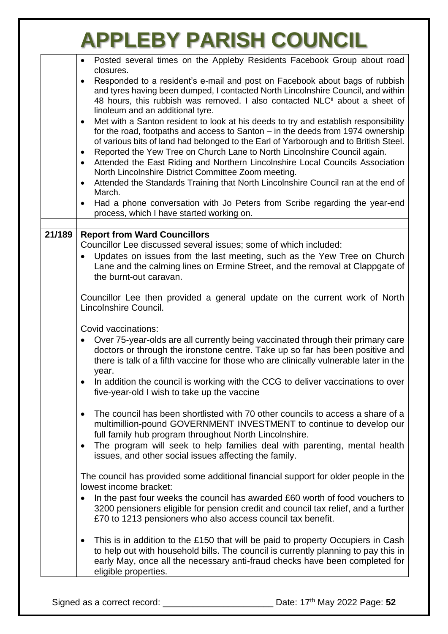|        | Posted several times on the Appleby Residents Facebook Group about road<br>closures.                                                                                                                                                                                                                                                                                            |
|--------|---------------------------------------------------------------------------------------------------------------------------------------------------------------------------------------------------------------------------------------------------------------------------------------------------------------------------------------------------------------------------------|
|        | Responded to a resident's e-mail and post on Facebook about bags of rubbish<br>$\bullet$<br>and tyres having been dumped, I contacted North Lincolnshire Council, and within<br>48 hours, this rubbish was removed. I also contacted NLC <sup>ii</sup> about a sheet of<br>linoleum and an additional tyre.                                                                     |
|        | Met with a Santon resident to look at his deeds to try and establish responsibility<br>$\bullet$<br>for the road, footpaths and access to Santon – in the deeds from 1974 ownership<br>of various bits of land had belonged to the Earl of Yarborough and to British Steel.                                                                                                     |
|        | Reported the Yew Tree on Church Lane to North Lincolnshire Council again.                                                                                                                                                                                                                                                                                                       |
|        | Attended the East Riding and Northern Lincolnshire Local Councils Association<br>$\bullet$<br>North Lincolnshire District Committee Zoom meeting.                                                                                                                                                                                                                               |
|        | Attended the Standards Training that North Lincolnshire Council ran at the end of                                                                                                                                                                                                                                                                                               |
|        | March.                                                                                                                                                                                                                                                                                                                                                                          |
|        | Had a phone conversation with Jo Peters from Scribe regarding the year-end<br>$\bullet$<br>process, which I have started working on.                                                                                                                                                                                                                                            |
| 21/189 | <b>Report from Ward Councillors</b>                                                                                                                                                                                                                                                                                                                                             |
|        | Councillor Lee discussed several issues; some of which included:                                                                                                                                                                                                                                                                                                                |
|        | Updates on issues from the last meeting, such as the Yew Tree on Church<br>Lane and the calming lines on Ermine Street, and the removal at Clappgate of<br>the burnt-out caravan.                                                                                                                                                                                               |
|        | Councillor Lee then provided a general update on the current work of North<br>Lincolnshire Council.                                                                                                                                                                                                                                                                             |
|        | Covid vaccinations:<br>Over 75-year-olds are all currently being vaccinated through their primary care<br>doctors or through the ironstone centre. Take up so far has been positive and<br>there is talk of a fifth vaccine for those who are clinically vulnerable later in the<br>year.                                                                                       |
|        | In addition the council is working with the CCG to deliver vaccinations to over<br>five-year-old I wish to take up the vaccine                                                                                                                                                                                                                                                  |
|        | The council has been shortlisted with 70 other councils to access a share of a<br>$\bullet$<br>multimillion-pound GOVERNMENT INVESTMENT to continue to develop our<br>full family hub program throughout North Lincolnshire.<br>The program will seek to help families deal with parenting, mental health<br>$\bullet$<br>issues, and other social issues affecting the family. |
|        | The council has provided some additional financial support for older people in the<br>lowest income bracket:                                                                                                                                                                                                                                                                    |
|        | In the past four weeks the council has awarded £60 worth of food vouchers to<br>3200 pensioners eligible for pension credit and council tax relief, and a further<br>£70 to 1213 pensioners who also access council tax benefit.                                                                                                                                                |
|        | This is in addition to the £150 that will be paid to property Occupiers in Cash<br>to help out with household bills. The council is currently planning to pay this in<br>early May, once all the necessary anti-fraud checks have been completed for<br>eligible properties.                                                                                                    |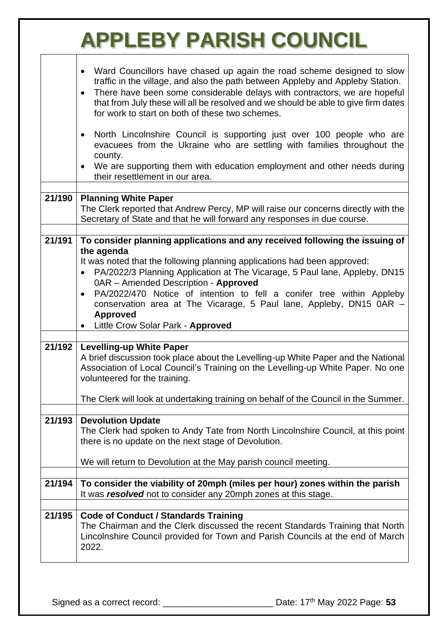|        | Ward Councillors have chased up again the road scheme designed to slow<br>traffic in the village, and also the path between Appleby and Appleby Station.<br>There have been some considerable delays with contractors, we are hopeful<br>$\bullet$<br>that from July these will all be resolved and we should be able to give firm dates<br>for work to start on both of these two schemes.<br>North Lincolnshire Council is supporting just over 100 people who are<br>$\bullet$<br>evacuees from the Ukraine who are settling with families throughout the |
|--------|--------------------------------------------------------------------------------------------------------------------------------------------------------------------------------------------------------------------------------------------------------------------------------------------------------------------------------------------------------------------------------------------------------------------------------------------------------------------------------------------------------------------------------------------------------------|
|        | county.<br>We are supporting them with education employment and other needs during<br>their resettlement in our area.                                                                                                                                                                                                                                                                                                                                                                                                                                        |
| 21/190 | <b>Planning White Paper</b><br>The Clerk reported that Andrew Percy, MP will raise our concerns directly with the<br>Secretary of State and that he will forward any responses in due course.                                                                                                                                                                                                                                                                                                                                                                |
| 21/191 | To consider planning applications and any received following the issuing of<br>the agenda<br>It was noted that the following planning applications had been approved:<br>PA/2022/3 Planning Application at The Vicarage, 5 Paul lane, Appleby, DN15<br>$\bullet$<br>0AR - Amended Description - Approved<br>PA/2022/470 Notice of intention to fell a conifer tree within Appleby<br>$\bullet$<br>conservation area at The Vicarage, 5 Paul lane, Appleby, DN15 0AR -<br><b>Approved</b><br>Little Crow Solar Park - Approved<br>$\bullet$                   |
| 21/192 | <b>Levelling-up White Paper</b><br>A brief discussion took place about the Levelling-up White Paper and the National<br>Association of Local Council's Training on the Levelling-up White Paper. No one<br>volunteered for the training.<br>The Clerk will look at undertaking training on behalf of the Council in the Summer.                                                                                                                                                                                                                              |
| 21/193 | <b>Devolution Update</b><br>The Clerk had spoken to Andy Tate from North Lincolnshire Council, at this point<br>there is no update on the next stage of Devolution.<br>We will return to Devolution at the May parish council meeting.                                                                                                                                                                                                                                                                                                                       |
| 21/194 | To consider the viability of 20mph (miles per hour) zones within the parish<br>It was resolved not to consider any 20mph zones at this stage.                                                                                                                                                                                                                                                                                                                                                                                                                |
| 21/195 | <b>Code of Conduct / Standards Training</b><br>The Chairman and the Clerk discussed the recent Standards Training that North<br>Lincolnshire Council provided for Town and Parish Councils at the end of March<br>2022.                                                                                                                                                                                                                                                                                                                                      |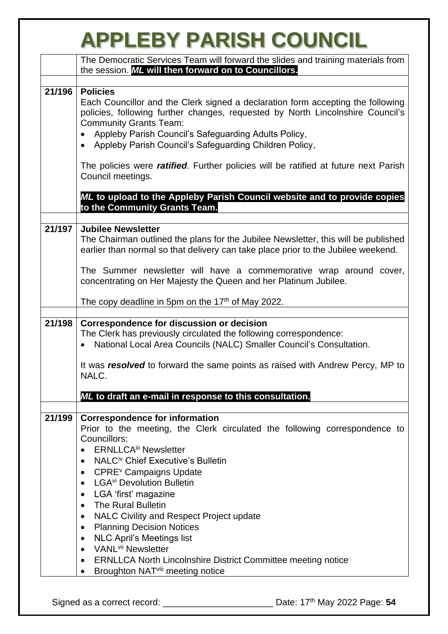|        | <b>APPLEBY PARISH COUNCIL</b>                                                                                                                                                                                                                                                                                                                                                                                                                                                                                                                                                                                                                                                                                                                                         |
|--------|-----------------------------------------------------------------------------------------------------------------------------------------------------------------------------------------------------------------------------------------------------------------------------------------------------------------------------------------------------------------------------------------------------------------------------------------------------------------------------------------------------------------------------------------------------------------------------------------------------------------------------------------------------------------------------------------------------------------------------------------------------------------------|
|        | The Democratic Services Team will forward the slides and training materials from<br>the session. ML will then forward on to Councillors.                                                                                                                                                                                                                                                                                                                                                                                                                                                                                                                                                                                                                              |
| 21/196 | <b>Policies</b><br>Each Councillor and the Clerk signed a declaration form accepting the following<br>policies, following further changes, requested by North Lincolnshire Council's<br><b>Community Grants Team:</b><br>Appleby Parish Council's Safeguarding Adults Policy,<br>Appleby Parish Council's Safeguarding Children Policy,<br>The policies were <i>ratified</i> . Further policies will be ratified at future next Parish<br>Council meetings.                                                                                                                                                                                                                                                                                                           |
|        | ML to upload to the Appleby Parish Council website and to provide copies<br>to the Community Grants Team.                                                                                                                                                                                                                                                                                                                                                                                                                                                                                                                                                                                                                                                             |
| 21/197 | <b>Jubilee Newsletter</b><br>The Chairman outlined the plans for the Jubilee Newsletter, this will be published<br>earlier than normal so that delivery can take place prior to the Jubilee weekend.                                                                                                                                                                                                                                                                                                                                                                                                                                                                                                                                                                  |
|        | The Summer newsletter will have a commemorative wrap around cover,<br>concentrating on Her Majesty the Queen and her Platinum Jubilee.                                                                                                                                                                                                                                                                                                                                                                                                                                                                                                                                                                                                                                |
|        | The copy deadline in 5pm on the $17th$ of May 2022.                                                                                                                                                                                                                                                                                                                                                                                                                                                                                                                                                                                                                                                                                                                   |
| 21/198 | Correspondence for discussion or decision<br>The Clerk has previously circulated the following correspondence:<br>National Local Area Councils (NALC) Smaller Council's Consultation.<br>It was resolved to forward the same points as raised with Andrew Percy, MP to<br>NALC.                                                                                                                                                                                                                                                                                                                                                                                                                                                                                       |
|        | ML to draft an e-mail in response to this consultation.                                                                                                                                                                                                                                                                                                                                                                                                                                                                                                                                                                                                                                                                                                               |
| 21/199 | <b>Correspondence for information</b><br>Prior to the meeting, the Clerk circulated the following correspondence to<br>Councillors:<br><b>ERNLLCA<sup>iii</sup> Newsletter</b><br>NALC <sup>iv</sup> Chief Executive's Bulletin<br>CPRE <sup>v</sup> Campaigns Update<br>$\bullet$<br>LGA <sup>vi</sup> Devolution Bulletin<br>LGA 'first' magazine<br>$\bullet$<br><b>The Rural Bulletin</b><br>$\bullet$<br><b>NALC Civility and Respect Project update</b><br>$\bullet$<br><b>Planning Decision Notices</b><br>$\bullet$<br><b>NLC April's Meetings list</b><br>$\bullet$<br>VANL <sup>vii</sup> Newsletter<br>$\bullet$<br>ERNLLCA North Lincolnshire District Committee meeting notice<br>$\bullet$<br>Broughton NAT <sup>viii</sup> meeting notice<br>$\bullet$ |
|        |                                                                                                                                                                                                                                                                                                                                                                                                                                                                                                                                                                                                                                                                                                                                                                       |
|        |                                                                                                                                                                                                                                                                                                                                                                                                                                                                                                                                                                                                                                                                                                                                                                       |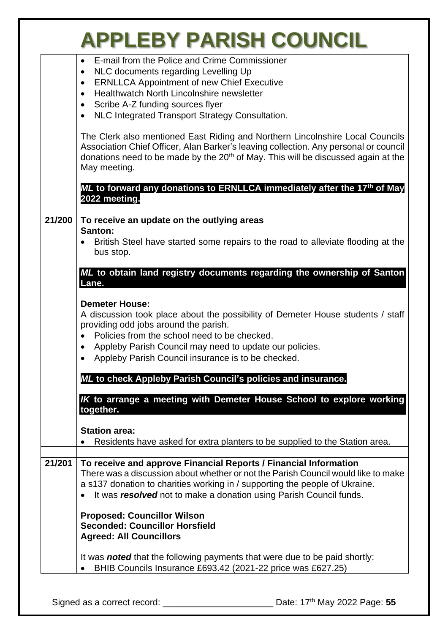|  |  |  |  | <b>APPLEBY PARISH COUNCIL</b> |
|--|--|--|--|-------------------------------|
|--|--|--|--|-------------------------------|

|        | E-mail from the Police and Crime Commissioner<br>$\bullet$<br>NLC documents regarding Levelling Up<br>$\bullet$                                                                                                                                                                                                                 |
|--------|---------------------------------------------------------------------------------------------------------------------------------------------------------------------------------------------------------------------------------------------------------------------------------------------------------------------------------|
|        | <b>ERNLLCA Appointment of new Chief Executive</b><br>$\bullet$<br>Healthwatch North Lincolnshire newsletter<br>$\bullet$                                                                                                                                                                                                        |
|        | Scribe A-Z funding sources flyer<br>$\bullet$                                                                                                                                                                                                                                                                                   |
|        | NLC Integrated Transport Strategy Consultation.                                                                                                                                                                                                                                                                                 |
|        | The Clerk also mentioned East Riding and Northern Lincolnshire Local Councils<br>Association Chief Officer, Alan Barker's leaving collection. Any personal or council<br>donations need to be made by the 20 <sup>th</sup> of May. This will be discussed again at the<br>May meeting.                                          |
|        | ML to forward any donations to ERNLLCA immediately after the 17th of May<br>2022 meeting.                                                                                                                                                                                                                                       |
| 21/200 | To receive an update on the outlying areas                                                                                                                                                                                                                                                                                      |
|        | Santon:<br>British Steel have started some repairs to the road to alleviate flooding at the<br>bus stop.                                                                                                                                                                                                                        |
|        | ML to obtain land registry documents regarding the ownership of Santon<br>Lane.                                                                                                                                                                                                                                                 |
|        | <b>Demeter House:</b><br>A discussion took place about the possibility of Demeter House students / staff<br>providing odd jobs around the parish.<br>Policies from the school need to be checked.<br>$\bullet$<br>Appleby Parish Council may need to update our policies.<br>Appleby Parish Council insurance is to be checked. |
|        | ML to check Appleby Parish Council's policies and insurance.                                                                                                                                                                                                                                                                    |
|        | IK to arrange a meeting with Demeter House School to explore working<br>together.                                                                                                                                                                                                                                               |
|        | <b>Station area:</b>                                                                                                                                                                                                                                                                                                            |
|        | Residents have asked for extra planters to be supplied to the Station area.                                                                                                                                                                                                                                                     |
| 21/201 | To receive and approve Financial Reports / Financial Information<br>There was a discussion about whether or not the Parish Council would like to make<br>a s137 donation to charities working in / supporting the people of Ukraine.<br>It was resolved not to make a donation using Parish Council funds.                      |
|        | <b>Proposed: Councillor Wilson</b><br><b>Seconded: Councillor Horsfield</b><br><b>Agreed: All Councillors</b>                                                                                                                                                                                                                   |
|        | It was <b>noted</b> that the following payments that were due to be paid shortly:<br>BHIB Councils Insurance £693.42 (2021-22 price was £627.25)                                                                                                                                                                                |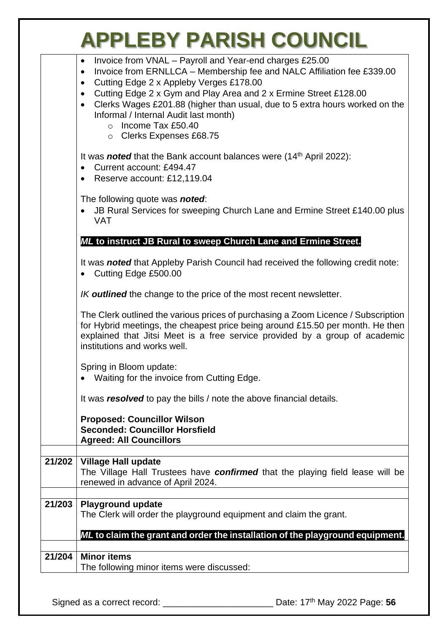|        | Invoice from VNAL - Payroll and Year-end charges £25.00<br>$\bullet$<br>Invoice from ERNLLCA - Membership fee and NALC Affiliation fee £339.00<br>$\bullet$<br>Cutting Edge 2 x Appleby Verges £178.00<br>$\bullet$<br>Cutting Edge 2 x Gym and Play Area and 2 x Ermine Street £128.00<br>$\bullet$<br>Clerks Wages £201.88 (higher than usual, due to 5 extra hours worked on the<br>$\bullet$<br>Informal / Internal Audit last month) |
|--------|-------------------------------------------------------------------------------------------------------------------------------------------------------------------------------------------------------------------------------------------------------------------------------------------------------------------------------------------------------------------------------------------------------------------------------------------|
|        | $\circ$ Income Tax £50.40<br>○ Clerks Expenses £68.75                                                                                                                                                                                                                                                                                                                                                                                     |
|        | It was <b>noted</b> that the Bank account balances were $(14th$ April 2022):<br>Current account: £494.47<br>$\bullet$<br>Reserve account: £12,119.04<br>$\bullet$                                                                                                                                                                                                                                                                         |
|        | The following quote was <b>noted</b> :<br>JB Rural Services for sweeping Church Lane and Ermine Street £140.00 plus<br><b>VAT</b>                                                                                                                                                                                                                                                                                                         |
|        | ML to instruct JB Rural to sweep Church Lane and Ermine Street.                                                                                                                                                                                                                                                                                                                                                                           |
|        | It was <b>noted</b> that Appleby Parish Council had received the following credit note:<br>Cutting Edge £500.00                                                                                                                                                                                                                                                                                                                           |
|        | <i>IK</i> outlined the change to the price of the most recent newsletter.                                                                                                                                                                                                                                                                                                                                                                 |
|        | The Clerk outlined the various prices of purchasing a Zoom Licence / Subscription<br>for Hybrid meetings, the cheapest price being around £15.50 per month. He then<br>explained that Jitsi Meet is a free service provided by a group of academic<br>institutions and works well.                                                                                                                                                        |
|        | Spring in Bloom update:<br>• Waiting for the invoice from Cutting Edge.                                                                                                                                                                                                                                                                                                                                                                   |
|        | It was resolved to pay the bills / note the above financial details.                                                                                                                                                                                                                                                                                                                                                                      |
|        | <b>Proposed: Councillor Wilson</b><br><b>Seconded: Councillor Horsfield</b><br><b>Agreed: All Councillors</b>                                                                                                                                                                                                                                                                                                                             |
| 21/202 | <b>Village Hall update</b>                                                                                                                                                                                                                                                                                                                                                                                                                |
|        | The Village Hall Trustees have confirmed that the playing field lease will be<br>renewed in advance of April 2024.                                                                                                                                                                                                                                                                                                                        |
| 21/203 | <b>Playground update</b><br>The Clerk will order the playground equipment and claim the grant.                                                                                                                                                                                                                                                                                                                                            |
|        | ML to claim the grant and order the installation of the playground equipment.                                                                                                                                                                                                                                                                                                                                                             |
| 21/204 | <b>Minor items</b><br>The following minor items were discussed:                                                                                                                                                                                                                                                                                                                                                                           |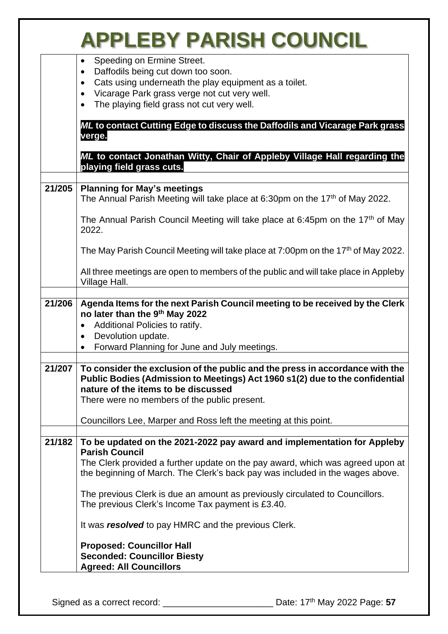|        | <b>APPLEBY PARISH COUNCIL</b>                                                                                                                                                                                                                                                                                           |
|--------|-------------------------------------------------------------------------------------------------------------------------------------------------------------------------------------------------------------------------------------------------------------------------------------------------------------------------|
|        | Speeding on Ermine Street.<br>Daffodils being cut down too soon.<br>$\bullet$<br>Cats using underneath the play equipment as a toilet.<br>$\bullet$<br>Vicarage Park grass verge not cut very well.<br>$\bullet$<br>The playing field grass not cut very well.                                                          |
|        | ML to contact Cutting Edge to discuss the Daffodils and Vicarage Park grass<br>verge.                                                                                                                                                                                                                                   |
|        | ML to contact Jonathan Witty, Chair of Appleby Village Hall regarding the<br>playing field grass cuts.                                                                                                                                                                                                                  |
| 21/205 | <b>Planning for May's meetings</b>                                                                                                                                                                                                                                                                                      |
|        | The Annual Parish Meeting will take place at 6:30pm on the 17 <sup>th</sup> of May 2022.                                                                                                                                                                                                                                |
|        | The Annual Parish Council Meeting will take place at 6:45pm on the 17 <sup>th</sup> of May<br>2022.                                                                                                                                                                                                                     |
|        | The May Parish Council Meeting will take place at 7:00pm on the 17 <sup>th</sup> of May 2022.                                                                                                                                                                                                                           |
|        | All three meetings are open to members of the public and will take place in Appleby<br>Village Hall.                                                                                                                                                                                                                    |
| 21/206 | Agenda Items for the next Parish Council meeting to be received by the Clerk<br>no later than the 9th May 2022<br>Additional Policies to ratify.<br>$\bullet$<br>Devolution update.<br>$\bullet$<br>Forward Planning for June and July meetings.<br>$\bullet$                                                           |
| 21/207 | To consider the exclusion of the public and the press in accordance with the<br>Public Bodies (Admission to Meetings) Act 1960 s1(2) due to the confidential<br>nature of the items to be discussed<br>There were no members of the public present.<br>Councillors Lee, Marper and Ross left the meeting at this point. |
| 21/182 | To be updated on the 2021-2022 pay award and implementation for Appleby<br><b>Parish Council</b><br>The Clerk provided a further update on the pay award, which was agreed upon at<br>the beginning of March. The Clerk's back pay was included in the wages above.                                                     |
|        | The previous Clerk is due an amount as previously circulated to Councillors.<br>The previous Clerk's Income Tax payment is £3.40.                                                                                                                                                                                       |
|        | It was resolved to pay HMRC and the previous Clerk.                                                                                                                                                                                                                                                                     |
|        | <b>Proposed: Councillor Hall</b><br><b>Seconded: Councillor Biesty</b><br><b>Agreed: All Councillors</b>                                                                                                                                                                                                                |